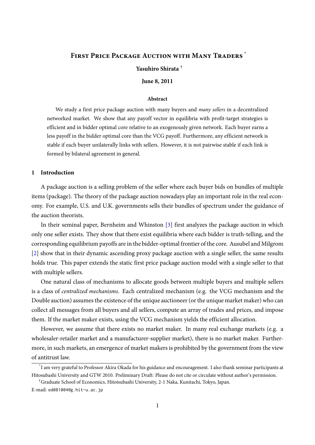# <span id="page-0-0"></span>**FIRST PRICE PACKAGE AUCTION WITH MANY TRADERS**

## **Yasuhiro Shirata** †

**June 8, 2011**

#### **Abstract**

We study a first price package auction with many buyers and *many sellers* in a decentralized networked market. We show that any payoff vector in equilibria with profit-target strategies is efficient and in bidder optimal core relative to an exogenously given network. Each buyer earns a less payoff in the bidder optimal core than the VCG payoff. Furthermore, any efficient network is stable if each buyer unilaterally links with sellers. However, it is not pairwise stable if each link is formed by bilateral agreement in general.

## **1 Introduction**

A package auction is a selling problem of the seller where each buyer bids on bundles of multiple items (package). The theory of the package auction nowadays play an important role in the real economy. For example, U.S. and U.K. governments sells their bundles of spectrum under the guidance of the auction theorists.

In their seminal paper, Bernheim and Whinston [\[3\]](#page-11-0) first analyzes the package auction in which only one seller exists. They show that there exist equilibria where each bidder is truth-telling, and the corresponding equilibrium payoffs are in the bidder-optimal frontier of the core. Ausubel and Milgrom [\[2\]](#page-11-1) show that in their dynamic ascending proxy package auction with a single seller, the same results holds true. This paper extends the static first price package auction model with a single seller to that with multiple sellers.

One natural class of mechanisms to allocate goods between multiple buyers and multiple sellers is a class of *centralized mechanisms*. Each centralized mechanism (e.g. the VCG mechanism and the Double auction) assumes the existence of the unique auctioneer (or the unique market maker) who can collect all messages from all buyers and all sellers, compute an array of trades and prices, and impose them. If the market maker exists, using the VCG mechanism yields the efficient allocation.

However, we assume that there exists no market maker. In many real exchange markets (e.g. a wholesaler-retailer market and a manufacturer-supplier market), there is no market maker. Furthermore, in such markets, an emergence of market makers is prohibited by the government from the view of antitrust law.

<sup>\*</sup> I am very grateful to Professor Akira Okada for his guidance and encouragement. I also thank seminar participants at Hitosubashi University and GTW 2010. Preliminary Draft: Please do not cite or circulate without author's permission.

<sup>†</sup>Graduate School of Economics, Hitotsubashi University, 2-1 Naka, Kunitachi, Tokyo, Japan.

E-mail: ed081004@g.hit-u.ac.jp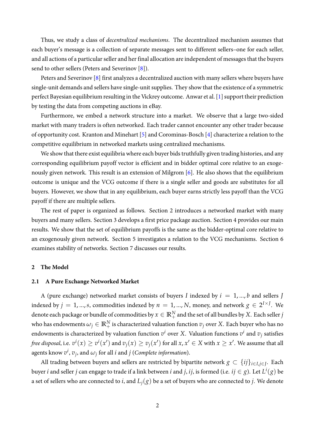<span id="page-1-0"></span>Thus, we study a class of *decentralized mechanisms*. The decentralized mechanism assumes that each buyer's message is a collection of separate messages sent to different sellers–one for each seller, and all actions of a particular seller and her final allocation are independent of messages that the buyers send to other sellers (Peters and Severinov [\[8\]](#page-11-2)).

Peters and Severinov [\[8\]](#page-11-2) first analyzes a decentralized auction with many sellers where buyers have single-unit demands and sellers have single-unit supplies. They show that the existence of a symmetric perfect Bayesian equilibrium resulting in the Vickrey outcome. Anwar et al. [\[1\]](#page-10-0) support their prediction by testing the data from competing auctions in eBay.

Furthermore, we embed a network structure into a market. We observe that a large two-sided market with many traders is often networked. Each trader cannot encounter any other trader because of opportunity cost. Kranton and Minehart [\[5\]](#page-11-3) and Corominas-Bosch [\[4\]](#page-11-4) characterize a relation to the competitive equilibrium in networked markets using centralized mechanisms.

We show that there exist equilibria where each buyer bids truthfully given trading histories, and any corresponding equilibrium payoff vector is efficient and in bidder optimal core relative to an exogenously given network. This result is an extension of Milgrom [\[6\]](#page-11-5). He also shows that the equilibrium outcome is unique and the VCG outcome if there is a single seller and goods are substitutes for all buyers. However, we show that in any equilibrium, each buyer earns strictly less payoff than the VCG payoff if there are multiple sellers.

The rest of paper is organized as follows. Section 2 introduces a networked market with many buyers and many sellers. Section 3 develops a first price package auction. Section 4 provides our main results. We show that the set of equilibrium payoffs is the same as the bidder-optimal core relative to an exogenously given network. Section 5 investigates a relation to the VCG mechanisms. Section 6 examines stability of networks. Section 7 discusses our results.

#### **2 The Model**

## **2.1 A Pure Exchange Networked Market**

A (pure exchange) networked market consists of buyers *I* indexed by  $i = 1, ..., b$  and sellers *J* indexed by  $j = 1,...,s$ , commodities indexed by  $n = 1,...,N$ , money, and network  $g \in 2^{I \times J}$ . We denote each package or bundle of commodities by  $x\in \mathbb{R}_+^N$  and the set of all bundles by  $X.$  Each seller  $j$ who has endowments  $\omega_j\in \mathbb{R}_+^N$  is characterized valuation function  $v_j$  over  $X.$  Each buyer who has no endowments is characterized by valuation function  $v^i$  over  $X$ . Valuation functions  $v^i$  and  $v_j$  satisfies free disposal, i.e.  $v^i(x)\geq v^i(x')$  and  $v_j(x)\geq v_j(x')$  for all  $x,x'\in X$  with  $x\geq x'.$  We assume that all agents know  $v^i$ ,  $v_j$ , and  $\omega_j$  for all *i* and *j* (*Complete information*).

All trading between buyers and sellers are restricted by bipartite network *g ⊂ {ij}i∈I*,*j∈<sup>J</sup>* . Each buyer *i* and seller  $j$  can engage to trade if a link between  $i$  and  $j$ ,  $ij$ , is formed (i.e.  $ij \in g$ ). Let  $L^i(g)$  be a set of sellers who are connected to *i*, and  $L_i(g)$  be a set of buyers who are connected to *j*. We denote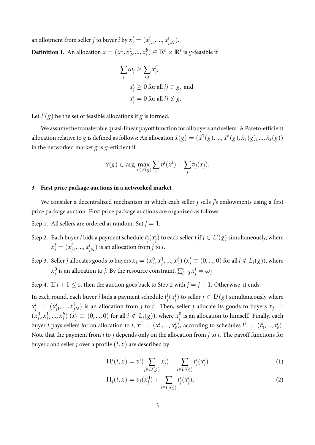an allotment from seller *j* to buyer *i* by  $x_j^i = (x_{j,1}^i, ..., x_j^i)$ *j*,*N* ). **Definition 1.** An allocation  $x = (x_1^1)$  $\frac{1}{1}$ ,  $x_2^1$  $(\frac{1}{2}, ..., x_s^b) \in \mathbb{R}^b \times \mathbb{R}^s$  is *g*-feasible if

$$
\sum_{j} \omega_{j} \ge \sum_{i,j} x_{j}^{i},
$$
  

$$
x_{j}^{i} \ge 0 \text{ for all } ij \in g, \text{ and}
$$
  

$$
x_{j}^{i} = 0 \text{ for all } ij \notin g.
$$

Let  $F(g)$  be the set of feasible allocations if g is formed.

We assume the transferable quasi-linear payoff function for all buyers and sellers. A Pareto-efficient allocation relative to  $g$  is defined as follows: An allocation  $\bar{x}(g)=(\bar{x}^1(g),...,\bar{x}^b(g),\bar{x}_1(g),...,\bar{x}_s(g))$ in the networked market *g* is *g*-efficient if

$$
\bar{x}(g) \in \arg\max_{x \in F(g)} \sum_{i} v^{i}(x^{i}) + \sum_{j} v_{j}(x_{j}).
$$

## **3 First price package auctions in a networked market**

We consider a decentralized mechanism in which each seller *j* sells *j*'s endowments using a first price package auction. First price package auctions are organized as follows:

Step 1. All sellers are ordered at random. Set  $j = 1$ .

- Step 2. Each buyer *i* bids a payment schedule *t i j* (*x i j*) to each seller *j* if *j* ∈  $L$ <sup>*i*</sup>(*g*) simultaneously, where  $x_j^i = (x_j^i)$  $j_1^i,...,x_{jN}^i)$  is an allocation from  $j$  to  $i.$
- Step 3. Seller *j* allocates goods to buyers  $x_j = (x_j^0)$  $\int\limits_j^0 x_j^1$ *j* , ..., *x b*  $j^{b})$   $(x_{j}^{i} \equiv (0,...,0)$  for all  $i \notin L_{j}(g)$ ), where  $x_i^0$  $\frac{1}{j}$  is an allocation to *j*. By the resource constraint,  $\sum_{i=0}^b x_j^i = \omega_j$

Step 4. If  $j + 1 \leq s$ , then the auction goes back to Step 2 with  $j = j + 1$ . Otherwise, it ends.

In each round, each buyer *i* bids a payment schedule *t i j* (*x i j*) to seller *j* ∈  $L$ <sup>*i*</sup>( $g$ ) simultaneously where  $x_j^i = (x_j^i)$  $\hat{p}_1^i$ , ...,  $x^i_{jN}$ ) is an allocation from  $j$  to  $i$ . Then, seller  $j$  allocate its goods to buyers  $x_j$  =  $(x_i^0)$  $\int j \cdot x_j^1$ *j* , ..., *x b*  $j$ ) ( $x_j^i$  ≡ (0, ..., 0) for all  $i \notin L_j(g)$ ), where  $x_j^0$  $j^0$  is an allocation to himself. Finally, each buyer *i* pays sellers for an allocation to *i*,  $x^i = (x^i)$  $\left\{ \begin{matrix} i & 0 \\ 1 & 0 \end{matrix} \right\}$ , according to schedules  $t^i = (t^i)$  $i_1, ..., i_s$ ). Note that the payment from *i* to *j* depends only on the allocation from *j* to *i*. The payoff functions for buyer *i* and seller *j* over a profile  $(t, x)$  are described by

$$
\Pi^{i}(t,x) = v^{i} \left( \sum_{j \in L^{i}(g)} x_{j}^{i} \right) - \sum_{j \in L^{i}(g)} t_{j}^{i}(x_{j}^{i})
$$
\n(1)

$$
\Pi_j(t, x) = v_j(x_j^0) + \sum_{i \in L_j(g)} t_j^i(x_j^i),
$$
\n(2)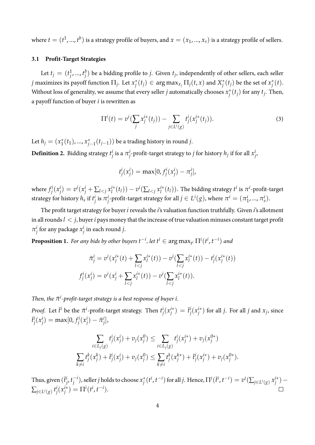where  $t=(t^1,...,t^b)$  is a strategy profile of buyers, and  $x=(x_1,...,x_s)$  is a strategy profile of sellers.

### **3.1 Profit-Target Strategies**

Let  $t_j = (t_j^1)$ *j* , ..., *t b*  $j^b_j$ ) be a bidding profile to *j*. Given  $t_j$ , independently of other sellers, each seller *j* maximizes its payoff function Π*<sup>j</sup>* . Let *x ∗*  $f_j^*(t_j) \in \argmax_{x_j} \Pi_j(t, x)$  and  $X_j^*$  $j^*(t_j)$  be the set of  $x_j^*$ *j* (*t*). Without loss of generality, we assume that every seller *j* automatically chooses *x ∗*  $j^*(t_j)$  for any  $t_j$ . Then, a payoff function of buyer *i* is rewritten as

$$
\Pi^{i}(t) = v^{i}(\sum_{j} x_{j}^{i*}(t_{j})) - \sum_{j \in L^{i}(g)} t_{j}^{i}(x_{j}^{i*}(t_{j})).
$$
\n(3)

Let  $h_j = (x_1^*$ 1 (*t*1), ..., *x ∗ j−*1 (*tj−*1)) be a trading history in round *j*.

**Definition 2.** Bidding strategy *t i*  $\frac{i}{j}$  is a  $\pi^i_j$  $j$ -profit-target strategy to *j* for history  $h_j$  if for all  $x_j^i$ *j* ,

$$
t_j^i(x_j^i) = \max[0, f_j^i(x_j^i) - \pi_j^i],
$$

where  $f_i^i$ *j* (*x i*  $\hat{y}^{i}$ ) =  $v^{i}(x_{j}^{i} + \sum_{l < j} x_{l}^{i*})$  $\frac{i^*}{l}(t_l)) - v^i(\sum_{l < j} x_l^{i*})$  $l_l^{i*}(t_l)$ ). The bidding strategy  $t^i$  is  $\pi^i$ -profit-target strategy for history  $h_s$  if  $t_i^i$  $\frac{i}{j}$  is  $\pi^i_j$  $j$ <sup>-</sup>profit-target strategy for all  $j \in L^i(g)$ , where  $\pi^i = (\pi^i_j)$  $i_1, ..., \pi_s^i$ .

The profit target strategy for buyer *i* reveals the *i*'s valuation function truthfully. Given *i*'s allotment in all rounds*l < j*, buyer*i* pays money that the increase of true valuation minuses constant target profit *π i*  $\frac{i}{j}$  for any package  $x_j^i$ *j* in each round *j*.

<span id="page-3-0"></span>**Proposition 1.** For any bids by other buyers  $t^{-i}$ , let  $t^i \in \argmax_{t^i} \Pi^i(t^i, t^{-i})$  and

$$
\bar{\pi}_j^i = v^i(x_j^{i*}(t) + \sum_{l < j} x_l^{i*}(t)) - v^i(\sum_{l < j} x_l^{i*}(t)) - t_j^i(x_j^{i*}(t))
$$
\n
$$
f_j^i(x_j^i) = v^i(x_j^i + \sum_{l < j} x_l^{i*}(t)) - v^i(\sum_{l < j} x_l^{i*}(t)).
$$

*Then, the*  $\bar{\pi}$ <sup>*i*</sup>-profit-target strategy is a best response of buyer *i*.

*Proof.* Let  $\bar{t}^i$  be the  $\bar{\pi}^i$ -profit-target strategy. Then  $t^i_j$ *j* (*x i∗*  $\left(\begin{smallmatrix} \bar{t} \ \bar{t} \end{smallmatrix}\right) = \bar{t}^i_j$ *j* (*x i∗*  $j^{i*}$  ) for all *j*. For all *j* and  $x_j$ , since  $\bar{t}^i_j$ *j* (*x i*  $j^{i}) = \max[0, f^{i}_{j}]$ *j* (*x i*  $j^{i})-\bar{\pi}^{i}_{j}$ *j* ],

$$
\sum_{i \in L_j(g)} t_j^i(x_j^i) + v_j(x_j^0) \le \sum_{i \in L_j(g)} t_j^i(x_j^{i*}) + v_j(x_j^{0*})
$$
  

$$
\sum_{k \ne i} t_j^k(x_j^k) + \bar{t}_j^i(x_j^i) + v_j(x_j^0) \le \sum_{k \ne i} t_j^k(x_j^{k*}) + \bar{t}_j^i(x_j^{i*}) + v_j(x_j^{0*}).
$$

Thus, given  $(\bar{t}^i_j)$ *j* , *t −i j* ), seller *j* holds to choose *x ∗*  $\chi^*_j(t^i,t^{-i})$  for all  $j.$  Hence,  $\Pi^i(\bar t^i,t^{-i}) = v^i(\sum_{j\in L^i(g)} x_j^{i*})$ *j* ) *−* ∑*j∈<sup>L</sup> <sup>i</sup>*(*g*) *t i j* (*x i∗*  $j^{i*}$ ) =  $\Pi^{i}(t^{i}, t^{-i}).$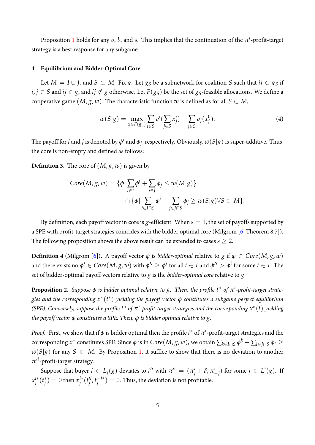<span id="page-4-0"></span>Proposition [1](#page-3-0) holds for any  $v$ ,  $b$ , and  $s$ . This implies that the continuation of the  $\bar{\pi}^i$ -profit-target strategy is a best response for any subgame.

## **4 Equilibrium and Bidder-Optimal Core**

Let *M* = *I* ∪ *J*, and *S* ⊂ *M*. Fix *g*. Let *g<sub>S</sub>* be a subnetwork for coalition *S* such that  $ij \in g_S$  if *i*, *j* ∈ *S* and *ij* ∈ *g*, and *ij* ∉ *g* otherwise. Let *F*(*g<sub>S</sub>*) be the set of *g<sub>S</sub>*-feasible allocations. We define a cooperative game  $(M, g, w)$ . The characteristic function *w* is defined as for all  $S \subset M$ ,

$$
w(S|g) = \max_{x \in F(g_S)} \sum_{i \in S} v^i (\sum_{j \in S} x_j^i) + \sum_{j \in S} v_j (x_j^0).
$$
 (4)

The payoff for  $i$  and  $j$  is denoted by  $\phi^i$  and  $\phi_j$ , respectively. Obviously,  $w(S|g)$  is super-additive. Thus, the core is non-empty and defined as follows:

**Definition 3.** The core of  $(M, g, w)$  is given by

$$
Core(M,g,w) = \{\phi | \sum_{i \in I} \phi^i + \sum_{j \in J} \phi_j \le w(M|g)\}
$$

$$
\cap \{\phi | \sum_{i \in I \cap S} \phi^i + \sum_{j \in J \cap S} \phi_j \ge w(S|g) \forall S \subset M\}.
$$

By definition, each payoff vector in core is *g*-efficient. When  $s = 1$ , the set of payoffs supported by a SPE with profit-target strategies coincides with the bidder optimal core (Milgrom [\[6,](#page-11-5) Theorem 8.7]). The following proposition shows the above result can be extended to cases *s ≥* 2.

**Definition 4** (Milgrom [\[6\]](#page-11-5)). A payoff vector  $\phi$  is *bidder-optimal* relative to  $g$  if  $\phi \in Core(M, g, w)$ and there exists no  $\phi'\in Core(M,g,w)$  with  $\phi'^i\geq \phi^i$  for all  $i\in I$  and  $\phi'^i>\phi^i$  for some  $i\in I.$  The set of bidder-optimal payoff vectors relative to *g* is the *bidder-optimal core* relative to *g*.

**Proposition 2.** Suppose  $\phi$  is bidder optimal relative to g. Then, the profile  $t^*$  of  $\pi^i$ -profit-target strate*gies and the corresponding x ∗* (*t ∗* ) *yielding the payoff vector ϕ constitutes a subgame perfect equilibrium (SPE). Conversely, suppose the profile*  $t^*$  *of*  $\pi$ <sup>*i*</sup>-profit-target strategies and the corresponding $x^*(t)$  yielding *the payoff vector ϕ constitutes a SPE. Then, ϕ is bidder optimal relative to g.*

*Proof.* First, we show that if  $\phi$  is bidder optimal then the profile  $t^*$  of  $\pi^i$ -profit-target strategies and the corresponding  $x^*$  constitutes SPE. Since  $\phi$  is in  $Core(M,g,w)$ , we obtain  $\sum_{k\in I\cap S}\phi^k+\sum_{l\in J\cap S}\phi_l\geq$ *w*(*S*|*g*) for any *S* ⊂ *M*. By Proposition [1,](#page-3-0) it suffice to show that there is no deviation to another *π ′i* -profit-target strategy.

Suppose that buyer  $i \in L_j(g)$  deviates to  $t'^i$  with  $\pi'^i = (\pi^i_j + \delta, \pi^i_{-j})$  for some  $j \in L^i(g)$ . If *x i∗ j* (*t ∗*  $y_j^*$ ) = 0 then  $x_j^{i*}$ *j* (*t ′i j* , *t −i∗*  $j^{-()*}$  ) = 0. Thus, the deviation is not profitable.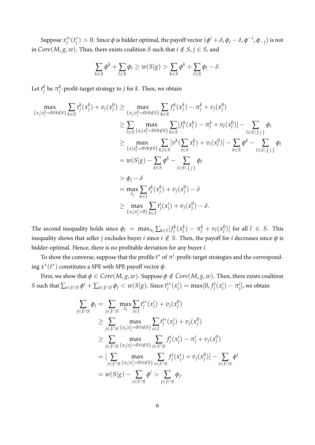Suppose *x i∗ j* (*t ∗*  $j^*$   $>0.$  Since  $\phi$  is bidder optimal, the payoff vector  $(\phi^i+\delta,\phi_j-\delta,\phi^{-i},\phi_{-j})$  is not in  $Core(M, g, w)$ . Thus, there exists coalition *S* such that  $i \notin S, j \in S$ , and

$$
\sum_{k \in S} \phi^k + \sum_{l \in S} \phi_l \ge w(S|g) > \sum_{k \in S} \phi^k + \sum_{l \in S} \phi_l - \delta.
$$

Let  $t_i^k$  $_j^k$  be  $\pi_j^k$ *j* -profit-target strategy to *j* for *k*. Then, we obtain

$$
\max_{\{x_j | x_j^k = 0 \forall k \notin S\}} \sum_{k \in S} t_j^k(x_j^k) + v_j(x_j^0) \ge \max_{\{x_j | x_j^k = 0 \forall k \notin S\}} \sum_{k \in S} f_j^k(x_j^k) - \pi_j^k + v_j(x_j^0)
$$
\n
$$
\ge \sum_{l \in S} \max_{\{x_l | x_l^k = 0 \forall k \notin S\}} \sum_{k \in S} [f_i^k(x_j^k) - \pi_l^k + v_l(x_l^0)] - \sum_{l \in S \setminus \{j\}} \phi_l
$$
\n
$$
\ge \max_{\{x | x_l^k = 0 \forall k \notin S\}} \sum_{k \in S} [v^k(\sum_{l \in S} x_l^k) + v_l(x_l^0)] - \sum_{k \in S} \phi^k - \sum_{l \in S \setminus \{j\}} \phi_l
$$
\n
$$
= w(S|g) - \sum_{k \in S} \phi^k - \sum_{l \in S \setminus \{j\}} \phi_l
$$
\n
$$
> \phi_j - \delta
$$
\n
$$
= \max_{x_j} \sum_{k \in I} t_j^k(x_j^k) + v_j(x_j^0) - \delta
$$
\n
$$
\ge \max_{\{x_j | x_j^k > 0\}} \sum_{k \in I} t_j^i(x_j^i) + v_j(x_j^0) - \delta.
$$

The second inequality holds since  $\phi_l = \max_{x_l} \sum_{k \in I} [f_l^k]$  $\int_l^k(x_l^k)$  $\binom{k}{l} - \pi_l^k + v_l(x_l^0)$  $\binom{0}{l}$  for all  $l \in S$ . This inequality shows that seller *j* excludes buyer *i* since  $i \notin S$ . Then, the payoff for *i* decreases since  $\phi$  is bidder-optimal. Hence, there is no profitable deviation for any buyer *i*.

To show the converse, suppose that the profile  $t^*$  of  $\pi^i$ -profit-target strategies and the corresponding  $x^*(t^*)$  constitutes a SPE with SPE payoff vector  $\phi$ .

First, we show that  $\phi \in Core(M, g, w)$ . Suppose  $\phi \notin Core(M, g, w)$ . Then, there exists coalition  $S$  such that  $\sum_{i \in I \cap S} \phi^i + \sum_{j \in J \cap S} \phi_j < w(S|g)$ . Since  $t_j^{i*}$ *j* (*x i*  $j^{i}) = \max[0, f^{i}_{j}]$ *j* (*x i*  $j^{i}$ ) *−*  $\pi^{i}_{j}$  $j^i_j$ , we obtain

$$
\sum_{j \in J \cap S} \phi_j = \sum_{j \in J \cap S} \max_{x_j} \sum_{i \in I} t_j^{i*}(x_j^i) + v_j(x_j^0) \n\ge \sum_{j \in J \cap S} \max_{\{x_j | x_j^i = 0 \forall i \notin S\}} \sum_{i \in I} t_j^{i*}(x_j^i) + v_j(x_j^0) \n\ge \sum_{j \in J \cap S} \max_{\{x_j | x_j^i = 0 \forall i \notin S\}} \sum_{i \in I \cap S} f_j^{i}(x_j^i) - \pi_j^{i} + v_j(x_j^0) \n= \left[ \sum_{j \in J \cap S} \max_{\{x_j | x_j^i = 0 \forall i \notin S\}} \sum_{i \in I \cap S} f_j^{i}(x_j^i) + v_j(x_j^0) \right] - \sum_{i \in I \cap S} \phi^i \n= w(S|g) - \sum_{i \in I \cap S} \phi^i > \sum_{j \in J \cap S} \phi_j.
$$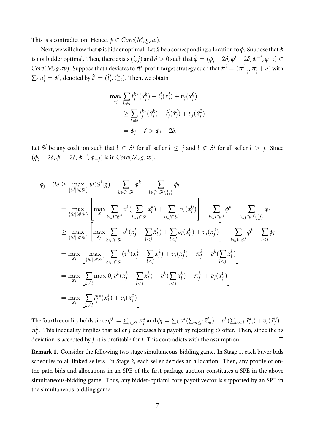This is a contradiction. Hence,  $\phi \in Core(M, g, w)$ .

Next, we will show that *ϕ* is bidder optimal. Let *x*˜ be a corresponding allocation to *ϕ*. Suppose that *ϕ* is not bidder optimal. Then, there exists  $(i,j)$  and  $\delta>0$  such that  $\tilde\phi=(\phi_j-2\delta,\phi^i+2\delta,\phi^{-i},\phi_{-j})\in$  $Core(M,g,w).$  Suppose that  $i$  deviates to  $\hat{\pi}^i$ -profit-target strategy such that  $\hat{\pi}^i=(\pi^i_{-j},\pi^i_j+\delta)$  with  $\sum_{l} \pi_l^i = \phi^i$ , denoted by  $\hat{t}^i = (\hat{t}^i_j)$ *j* , *t i∗ −j* ). Then, we obtain

$$
\max_{x_j} \sum_{k \neq i} t_j^{k*}(x_j^k) + \hat{t}_j^i(x_j^i) + v_j(x_j^0)
$$
  
\n
$$
\geq \sum_{k \neq i} t_j^{k*}(\tilde{x}_j^k) + \hat{t}_j^i(\tilde{x}_j^i) + v_j(\tilde{x}_j^0)
$$
  
\n
$$
= \phi_j - \delta > \phi_j - 2\delta.
$$

Let  $S^j$  be any coalition such that  $l \in S^j$  for all seller  $l \leq j$  and  $l \notin S^j$  for all seller  $l > j$ . Since  $(\phi_j - 2\delta, \phi^i + 2\delta, \phi^{-i}, \phi_{-j})$  is in  $Core(M, g, w),$ 

$$
\phi_{j} - 2\delta \geq \max_{\{S^{j} | i \notin S^{j}\}} w(S^{j} | g) - \sum_{k \in I \cap S^{j}} \phi^{k} - \sum_{l \in J \cap S^{j} \setminus \{j\}} \phi_{l}
$$
\n
$$
= \max_{\{S^{j} | i \notin S^{j}\}} \left[ \max_{x} \sum_{k \in I \cap S^{j}} v^{k} (\sum_{l \in J \cap S^{j}} x_{l}^{k}) + \sum_{l \in J \cap S^{j}} v_{l}(x_{l}^{0}) \right] - \sum_{k \in I \cap S^{j}} \phi^{k} - \sum_{l \in J \cap S^{j} \setminus \{j\}} \phi_{l}
$$
\n
$$
\geq \max_{\{S^{j} | i \notin S^{j}\}} \left[ \max_{x_{j}} \sum_{k \in I \cap S^{j}} v^{k} (x_{j}^{k} + \sum_{l < j} \tilde{x}_{l}^{k}) + \sum_{l < j} v_{l}(\tilde{x}_{l}^{0}) + v_{j}(x_{j}^{0}) \right] - \sum_{k \in I \cap S^{j}} \phi^{k} - \sum_{l < j} \phi_{l}
$$
\n
$$
= \max_{x_{j}} \left[ \max_{\{S^{j} | i \notin S^{j}\}} \sum_{k \in I \cap S^{j}} (v^{k} (x_{j}^{k} + \sum_{l < j} \tilde{x}_{l}^{k}) + v_{j} (x_{j}^{0}) - \pi_{j}^{k} - v^{k} (\sum_{l < j} \tilde{x}_{l}^{k}) \right]
$$
\n
$$
= \max_{x_{j}} \left[ \sum_{k \neq i} \max[0, v^{k} (x_{j}^{k} + \sum_{l < j} \tilde{x}_{l}^{k}) - v^{k} (\sum_{l < j} \tilde{x}_{l}^{k}) - \pi_{j}^{k} + v_{j} (x_{j}^{0}) \right]
$$
\n
$$
= \max_{x_{j}} \left[ \sum_{k \neq i} t_{j}^{k*} (x_{j}^{k}) + v_{j} (x_{j}^{0}) \right].
$$

The fourth equality holds since  $\phi^k = \sum_{l \in S^j} \pi^k_l$  $\frac{k}{l}$  and  $\phi_l = \sum_k v^k (\sum_{m \leq l} \tilde{x}_m^k) - v^k (\sum_{m < l} \tilde{x}_m^k) + v_l (\tilde{x}_l^0)$ *l* ) *− π k l* . This inequality implies that seller *j* decreases his payoff by rejecting *i*'s offer. Then, since the *i*'s deviation is accepted by *j*, it is profitable for *i*. This contradicts with the assumption.  $\Box$ 

**Remark 1.** Consider the following two stage simultaneous-bidding game. In Stage 1, each buyer bids schedules to all linked sellers. In Stage 2, each seller decides an allocation. Then, any profile of onthe-path bids and allocations in an SPE of the first package auction constitutes a SPE in the above simultaneous-bidding game. Thus, any bidder-optiaml core payoff vector is supported by an SPE in the simultaneous-bidding game.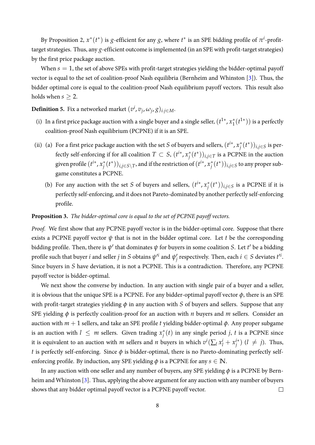<span id="page-7-0"></span>By Proposition 2,  $x^*(t^*)$  is *g*-efficient for any *g*, where  $t^*$  is an SPE bidding profile of  $\pi^i$ -profittarget strategies. Thus, any *g*-efficient outcome is implemented (in an SPE with profit-target strategies) by the first price package auction.

When  $s = 1$ , the set of above SPEs with profit-target strategies yielding the bidder-optimal payoff vector is equal to the set of coalition-proof Nash equilibria (Bernheim and Whinston [\[3\]](#page-11-0)). Thus, the bidder optimal core is equal to the coalition-proof Nash equilibrium payoff vectors. This result also holds when  $s \geq 2$ .

**Definition 5.** Fix a networked market  $(v^i, v_j, \omega_j, g)_{i,j \in M}$ .

- (i) In a first price package auction with a single buyer and a single seller,  $(t^{1*}, x_1^*$ 1 (*t* 1*∗* )) is a perfectly coalition-proof Nash equilibrium (PCPNE) if it is an SPE.
- (ii) (a) For a first price package auction with the set *S* of buyers and sellers,  $(t^{i*}, x_i^*)$ *j* (*t ∗* ))*i*,*j∈<sup>S</sup>* is perfectly self-enforcing if for all coalition  $T \subset S$ ,  $(t^{i*}, x_i^*)$  $j^*(t^*)$ ) $_{i,j \in T}$  is a PCPNE in the auction given profile  $(t^{i*}, x_i^*)$  $f(t^*))_{i,j\in S\setminus T}$ , and if the restriction of  $(t^{i*},x^*_j)$ *j* (*t ∗* ))*i*,*j∈<sup>S</sup>* to any proper subgame constitutes a PCPNE.
	- (b) For any auction with the set *S* of buyers and sellers,  $(t^{i*}, x_i^*)$  $j^*(t^*)$ )<sub>*i*,*j*∈*S* is a PCPNE if it is</sub> perfectly self-enforcing, and it does not Pareto-dominated by another perfectly self-enforcing profile.

### **Proposition 3.** *The bidder-optimal core is equal to the set of PCPNE payoff vectors.*

*Proof.* We first show that any PCPNE payoff vector is in the bidder-optimal core. Suppose that there exists a PCPNE payoff vector *ψ* that is not in the bidder optimal core. Let *t* be the corresponding bidding profile. Then, there is  $\psi'$  that dominates  $\psi$  for buyers in some coalition *S*. Let  $t'$  be a bidding profile such that buyer *i* and seller *j* in *S* obtains  $\psi'^i$  and  $\psi'_i$  $f_j$  respectively. Then, each  $i \in S$  deviates  $t'^i$ . Since buyers in *S* have deviation, it is not a PCPNE. This is a contradiction. Therefore, any PCPNE payoff vector is bidder-optimal.

We next show the converse by induction. In any auction with single pair of a buyer and a seller, it is obvious that the unique SPE is a PCPNE. For any bidder-optimal payoff vector  $\phi$ , there is an SPE with profit-target strategies yielding  $\phi$  in any auction with *S* of buyers and sellers. Suppose that any SPE yielding *ϕ* is perfectly coalition-proof for an auction with *n* buyers and *m* sellers. Consider an auction with *m* + 1 sellers, and take an SPE profile *t* yielding bidder-optimal *ϕ*. Any proper subgame is an auction with  $l \leq m$  sellers. Given trading  $x_i^*$  $j^*(t)$  in any single period *j*, *t* is a PCPNE since it is equivalent to an auction with *m* sellers and *n* buyers in which  $v^i(\sum_l x^i_l + x^{i*}_j)$  $j^{(*)}$   $(l \neq j)$ . Thus, *t* is perfectly self-enforcing. Since *ϕ* is bidder-optimal, there is no Pareto-dominating perfectly selfenforcing profile. By induction, any SPE yielding  $\phi$  is a PCPNE for any  $s \in \mathbb{N}$ .

In any auction with one seller and any number of buyers, any SPE yielding  $\phi$  is a PCPNE by Bernheim and Whinston [\[3\]](#page-11-0). Thus, applying the above argument for any auction with any number of buyers shows that any bidder optimal payoff vector is a PCPNE payoff vector.  $\Box$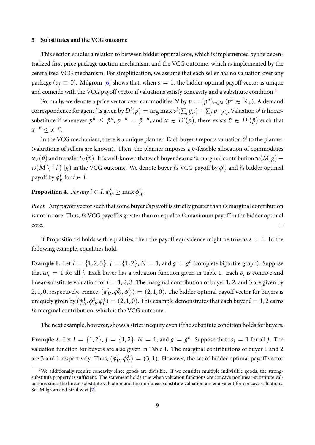#### <span id="page-8-0"></span>**5 Substitutes and the VCG outcome**

This section studies a relation to between bidder optimal core, which is implemented by the decentralized first price package auction mechanism, and the VCG outcome, which is implemented by the centralized VCG mechanism. For simplification, we assume that each seller has no valuation over any package ( $v_j \equiv 0$ ). Milgrom [\[6\]](#page-11-5) shows that, when  $s = 1$ , the bidder-optimal payoff vector is unique and coincide with the VCG payoff vector if valuations satisfy concavity and a substitute condition.<sup>1</sup>

Formally, we denote a price vector over commodities  $N$  by  $p = (p^n)_{n \in N}$   $(p^n \in \mathbb{R}_+).$  A demand correspondence for agent  $i$  is given by  $D^i(p)=\argmax v^i(\sum_j y_{ij})-\sum_j p\cdot y_{ij}.$  Valuation  $v^i$  is linearsubstitute if whenever  $p^n\,\leq\,\tilde{p}^n,\,p^{-n}\,=\,\tilde{p}^{-n},$  and  $x\,\in\,D^i(p),$  there exists  $\tilde{x}\,\in\,D^i(\tilde{p})$  such that  $x^{-n} \leq \tilde{x}^{-n}$ .

In the VCG mechanism, there is a unique planner. Each buyer  $i$  reports valuation  $\hat{v}^i$  to the planner (valuations of sellers are known). Then, the planner imposes a *g*-feasible allocation of commodities  $x_V$ ( $\hat{v}$ ) and transfer  $t_V$ ( $\hat{v}$ ). It is well-known that each buyer *i* earns *i*'s marginal contribution  $w(M|g)$  –  $w(M \setminus \set{i}{\mid g}$  in the VCG outcome. We denote buyer *i*'s VCG payoff by  $\phi_1^i$  $V_V^l$  and *i*'s bidder optimal payoff by *ϕ i*  $\frac{i}{B}$  for  $i \in I$ .

**Proposition 4.** *For any*  $i \in I$ ,  $\phi_V^i \ge \max \phi_I^i$ *B .*

*Proof.* Any payoff vector such that some buyer*i*'s payoff is strictly greater than *i*'s marginal contribution is not in core. Thus, *i*'s VCG payoff is greater than or equal to *i*'s maximum payoff in the bidder optimal core.  $\Box$ 

If Proposition 4 holds with equalities, then the payoff equivalence might be true as  $s = 1$ . In the following example, equalities hold.

**Example 1.** Let  $I = \{1, 2, 3\}$ ,  $J = \{1, 2\}$ ,  $N = 1$ , and  $g = g^c$  (complete bipartite graph). Suppose that  $\omega_j = 1$  for all *j*. Each buyer has a valuation function given in Table 1. Each  $v_i$  is concave and linear-substitute valuation for  $i = 1, 2, 3$ . The marginal contribution of buyer 1, 2, and 3 are given by 2, 1, 0, respectively. Hence, (*ϕ* 1  $V^1$ ,  $\phi_V^2$  $\frac{2}{V}$ ,  $\phi_V^3$  $V(V) = (2, 1, 0)$ . The bidder optimal payoff vector for buyers is uniquely given by (*ϕ* 1  $\frac{1}{B}$ ,  $\phi_B^2$  $_B^2$ ,  $\phi_B^3$  $B_B^3$ ) = (2, 1, 0). This example demonstrates that each buyer  $i = 1, 2$  earns *i*'s marginal contribution, which is the VCG outcome.

The next example, however, shows a strict inequity even if the substitute condition holds for buyers.

**Example 2.** Let  $I = \{1, 2\}$ ,  $J = \{1, 2\}$ ,  $N = 1$ , and  $g = g^c$ . Suppose that  $\omega_j = 1$  for all *j*. The valuation function for buyers are also given in Table 1. The marginal contributions of buyer 1 and 2 are 3 and 1 respectively. Thus, (*ϕ* 1  $\psi^1$ ,  $\phi^2$  $V_V^2$  = (3, 1). However, the set of bidder optimal payoff vector

<sup>&</sup>lt;sup>1</sup>We additionally require concavity since goods are divisible. If we consider multiple indivisible goods, the strongsubstitute property is sufficient. The statement holds true when valuation functions are concave nonlinear-substitute valuations since the linear-substitute valuation and the nonlinear-substitute valuation are equivalent for concave valuations. See Milgrom and Strulovici [\[7\]](#page-11-6).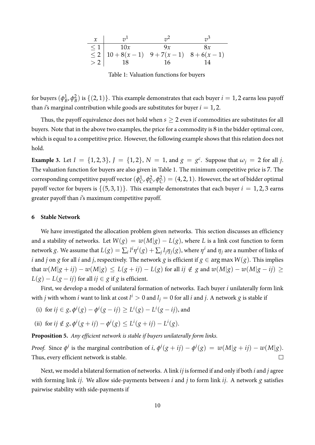

Table 1: Valuation functions for buyers

for buyers (*ϕ* 1  $\frac{1}{B}$ ,  $\phi_B^2$  $B_B^2$ ) is  $\{(2,1)\}$ . This example demonstrates that each buyer  $i=1,2$  earns less payoff than *i*'s marginal contribution while goods are substitutes for buyer  $i = 1, 2$ .

Thus, the payoff equivalence does not hold when  $s \geq 2$  even if commodities are substitutes for all buyers. Note that in the above two examples, the price for a commodity is 8 in the bidder optimal core, which is equal to a competitive price. However, the following example shows that this relation does not hold.

**Example 3.** Let  $I = \{1, 2, 3\}$ ,  $J = \{1, 2\}$ ,  $N = 1$ , and  $g = g^c$ . Suppose that  $\omega_j = 2$  for all *j*. The valuation function for buyers are also given in Table 1. The minimum competitive price is 7. The corresponding competitive payoff vector (*ϕ* 1  $\int_C^1$ ,  $\phi_C^2$  $c^2$ ,  $\phi_c^2$  $\binom{2}{C} = (4, 2, 1)$ . However, the set of bidder optimal payoff vector for buyers is  $\{(5,3,1)\}\$ . This example demonstrates that each buyer  $i = 1,2,3$  earns greater payoff than *i*'s maximum competitive payoff.

#### **6 Stable Network**

We have investigated the allocation problem given networks. This section discusses an efficiency and a stability of networks. Let  $W(g) = w(M|g) - L(g)$ , where *L* is a link cost function to form network  $g.$  We assume that  $L(g)=\sum_i l^i\eta^i(g)+\sum_j l_j\eta_j(g),$  where  $\eta^i$  and  $\eta_j$  are a number of links of *i* and *j* on *g* for all *i* and *j*, respectively. The network *g* is efficient if  $g \in \arg \max W(g)$ . This implies that  $w(M|g + ij) - w(M|g) \le L(g + ij) - L(g)$  for all  $ij \notin g$  and  $w(M|g) - w(M|g - ij) \ge$ *L*(*g*) − *L*(*g* − *ij*) for all *ij*  $∈$  *g* if *g* is efficient.

First, we develop a model of unilateral formation of networks. Each buyer *i* unilaterally form link with  $j$  with whom  $i$  want to link at cost  $l^i > 0$  and  $l_j = 0$  for all  $i$  and  $j$ . A network  $g$  is stable if

- (i) for  $ij \in g$ ,  $\phi^{i}(g) \phi^{i}(g ij) \geq L^{i}(g) L^{i}(g ij)$ , and
- (ii) for  $ij \notin g$ ,  $\phi^{i}(g + ij) \phi^{i}(g) \leq L^{i}(g + ij) L^{i}(g)$ .

**Proposition 5.** *Any efficient network is stable if buyers unilaterally form links.*

*Proof.* Since  $\phi^i$  is the marginal contribution of i,  $\phi^i(g + ij) - \phi^i(g) = w(M|g + ij) - w(M|g)$ . Thus, every efficient network is stable.  $\Box$ 

Next, we model a bilateral formation of networks. A link *ij* is formed if and only if both *i* and *j* agree with forming link *ij*. We allow side-payments between *i* and *j* to form link *ij*. A network *g* satisfies pairwise stability with side-payments if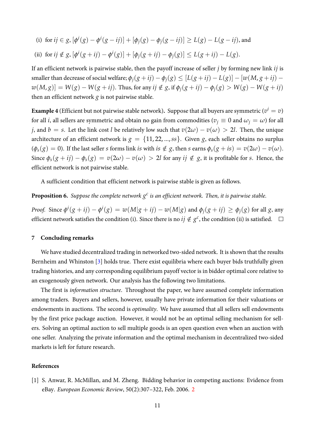- <span id="page-10-1"></span>(i) for  $ij \in g$ ,  $[\phi^i(g) - \phi^i(g - ij)] + [\phi_i(g) - \phi_i(g - ij)] \ge L(g) - L(g - ij)$ , and
- (ii) for  $ij \notin g$ ,  $[\phi^i(g + ij) \phi^i(g)] + [\phi_i(g + ij) \phi_i(g)] \le L(g + ij) L(g)$ .

If an efficient network is pairwise stable, then the payoff increase of seller *j* by forming new link *ij* is smaller than decrease of social welfare;  $\phi_j(g + ij) - \phi_j(g) \leq [L(g + ij) - L(g)] - [\omega(M, g + ij)$  $w(M,g) = W(g) - W(g + ij)$ . Thus, for any  $ij \notin g$ , if  $\phi_i(g + ij) - \phi_i(g) > W(g) - W(g + ij)$ then an efficient network *g* is not pairwise stable.

**Example 4** (Efficient but not pairwise stable network). Suppose that all buyers are symmetric  $(v^i=v)$ for all *i*, all sellers are symmetric and obtain no gain from commodities ( $v_j \equiv 0$  and  $\omega_j = \omega$ ) for all *j*, and *b* = *s*. Let the link cost *l* be relatively low such that  $v(2\omega) - v(\omega) > 2l$ . Then, the unique architecture of an efficient network is  $g = \{11, 22, ..., ss\}$ . Given *g*, each seller obtains no surplus  $(\phi_s(g) = 0)$ . If the last seller s forms link is with is  $\notin g$ , then s earns  $\phi_s(g + is) = v(2\omega) - v(\omega)$ . Since  $\phi_s(g + ij) - \phi_s(g) = v(2\omega) - v(\omega) > 2l$  for any  $ij \notin g$ , it is profitable for s. Hence, the efficient network is not pairwise stable.

A sufficient condition that efficient network is pairwise stable is given as follows.

**Proposition 6.** Suppose the complete network  $g^c$  is an efficient network. Then, it is pairwise stable.

*Proof.* Since  $\phi^i(g+ij) - \phi^i(g) = w(M|g+ij) - w(M|g)$  and  $\phi_j(g+ij) \ge \phi_j(g)$  for all g, any efficient network satisfies the condition (i). Since there is no  $ij \notin g^c$ , the condition (ii) is satisfied.

#### **7 Concluding remarks**

We have studied decentralized trading in networked two-sided network. It is shown that the results Bernheim and Whinston [\[3\]](#page-11-0) holds true. There exist equilibria where each buyer bids truthfully given trading histories, and any corresponding equilibrium payoff vector is in bidder optimal core relative to an exogenously given network. Our analysis has the following two limitations.

The first is *information structure*. Throughout the paper, we have assumed complete information among traders. Buyers and sellers, however, usually have private information for their valuations or endowments in auctions. The second is *optimality*. We have assumed that all sellers sell endowments by the first price package auction. However, it would not be an optimal selling mechanism for sellers. Solving an optimal auction to sell multiple goods is an open question even when an auction with one seller. Analyzing the private information and the optimal mechanism in decentralized two-sided markets is left for future research.

#### **References**

<span id="page-10-0"></span>[1] S. Anwar, R. McMillan, and M. Zheng. Bidding behavior in competing auctions: Evidence from eBay. *European Economic Review*, 50(2):307–322, Feb. 2006. [2](#page-1-0)